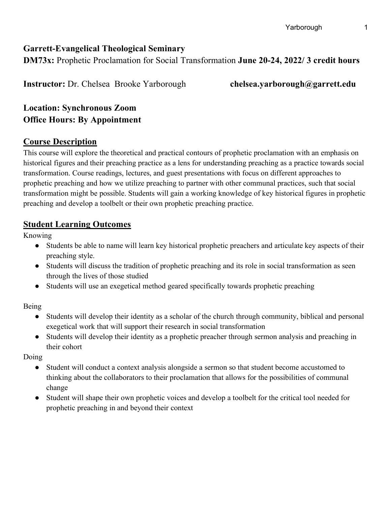## **Garrett-Evangelical Theological Seminary**

**DM73x:** Prophetic Proclamation for Social Transformation **June 20-24, 2022/ 3 credit hours**

**Instructor:** Dr. Chelsea Brooke Yarborough **chelsea.yarborough@garrett.edu**

**Location: Synchronous Zoom Office Hours: By Appointment**

#### **Course Description**

This course will explore the theoretical and practical contours of prophetic proclamation with an emphasis on historical figures and their preaching practice as a lens for understanding preaching as a practice towards social transformation. Course readings, lectures, and guest presentations with focus on different approaches to prophetic preaching and how we utilize preaching to partner with other communal practices, such that social transformation might be possible. Students will gain a working knowledge of key historical figures in prophetic preaching and develop a toolbelt or their own prophetic preaching practice.

# **Student Learning Outcomes**

Knowing

- Students be able to name will learn key historical prophetic preachers and articulate key aspects of their preaching style.
- Students will discuss the tradition of prophetic preaching and its role in social transformation as seen through the lives of those studied
- Students will use an exegetical method geared specifically towards prophetic preaching

Being

- Students will develop their identity as a scholar of the church through community, biblical and personal exegetical work that will support their research in social transformation
- Students will develop their identity as a prophetic preacher through sermon analysis and preaching in their cohort

Doing

- Student will conduct a context analysis alongside a sermon so that student become accustomed to thinking about the collaborators to their proclamation that allows for the possibilities of communal change
- Student will shape their own prophetic voices and develop a toolbelt for the critical tool needed for prophetic preaching in and beyond their context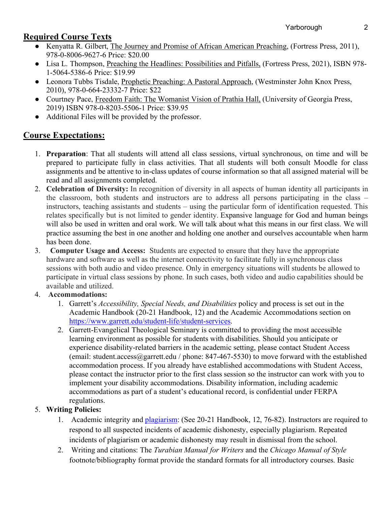## **Required Course Texts**

- Kenyatta R. Gilbert, The Journey and Promise of African American Preaching, (Fortress Press, 2011), 978-0-8006-9627-6 Price: \$20.00
- Lisa L. Thompson, Preaching the Headlines: Possibilities and Pitfalls, (Fortress Press, 2021), ISBN 978- 1-5064-5386-6 Price: \$19.99
- Leonora Tubbs Tisdale, Prophetic Preaching: A Pastoral Approach, (Westminster John Knox Press, 2010), 978-0-664-23332-7 Price: \$22
- Courtney Pace, Freedom Faith: The Womanist Vision of Prathia Hall, (University of Georgia Press, 2019) ISBN 978-0-8203-5506-1 Price: \$39.95
- Additional Files will be provided by the professor.

# **Course Expectations:**

- 1. **Preparation**: That all students will attend all class sessions, virtual synchronous, on time and will be prepared to participate fully in class activities. That all students will both consult Moodle for class assignments and be attentive to in-class updates of course information so that all assigned material will be read and all assignments completed.
- 2. **Celebration of Diversity:** In recognition of diversity in all aspects of human identity all participants in the classroom, both students and instructors are to address all persons participating in the class – instructors, teaching assistants and students – using the particular form of identification requested. This relates specifically but is not limited to gender identity. Expansive language for God and human beings will also be used in written and oral work. We will talk about what this means in our first class. We will practice assuming the best in one another and holding one another and ourselves accountable when harm has been done.
- 3. **Computer Usage and Access:** Students are expected to ensure that they have the appropriate hardware and software as well as the internet connectivity to facilitate fully in synchronous class sessions with both audio and video presence. Only in emergency situations will students be allowed to participate in virtual class sessions by phone. In such cases, both video and audio capabilities should be available and utilized.

#### 4. **Accommodations:**

- 1. Garrett's *Accessibility, Special Needs, and Disabilities* policy and process is set out in the Academic Handbook (20-21 Handbook, 12) and the Academic Accommodations section on https://www.garrett.edu/student-life/student-services.
- 2. Garrett-Evangelical Theological Seminary is committed to providing the most accessible learning environment as possible for students with disabilities. Should you anticipate or experience disability-related barriers in the academic setting, please contact Student Access (email: student.access@garrett.edu / phone: 847-467-5530) to move forward with the established accommodation process. If you already have established accommodations with Student Access, please contact the instructor prior to the first class session so the instructor can work with you to implement your disability accommodations. Disability information, including academic accommodations as part of a student's educational record, is confidential under FERPA regulations.

#### 5. **Writing Policies:**

- 1. Academic integrity and *plagiarism*: (See 20-21 Handbook, 12, 76-82). Instructors are required to respond to all suspected incidents of academic dishonesty, especially plagiarism. Repeated incidents of plagiarism or academic dishonesty may result in dismissal from the school.
- 2. Writing and citations: The *Turabian Manual for Writers* and the *Chicago Manual of Style* footnote/bibliography format provide the standard formats for all introductory courses. Basic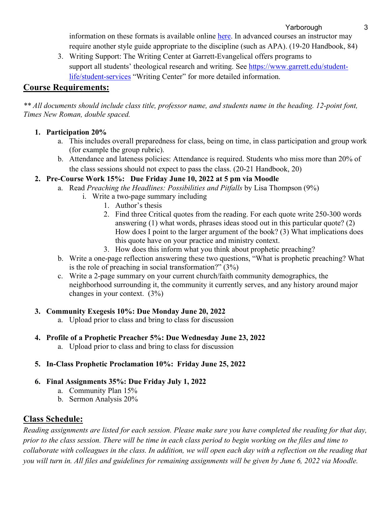Yarborough 3

information on these formats is available online here. In advanced courses an instructor may require another style guide appropriate to the discipline (such as APA). (19-20 Handbook, 84)

3. Writing Support: The Writing Center at Garrett-Evangelical offers programs to support all students' theological research and writing. See https://www.garrett.edu/studentlife/student-services "Writing Center" for more detailed information.

## **Course Requirements:**

\*\* All documents should include class title, professor name, and students name in the heading. 12-point font, *Times New Roman, double spaced.*

#### **1. Participation 20%**

- a. This includes overall preparedness for class, being on time, in class participation and group work (for example the group rubric).
- b. Attendance and lateness policies: Attendance is required. Students who miss more than 20% of the class sessions should not expect to pass the class. (20-21 Handbook, 20)
- **2. Pre-Course Work 15%: Due Friday June 10, 2022 at 5 pm via Moodle**
	- a. Read *Preaching the Headlines: Possibilities and Pitfalls* by Lisa Thompson (9%)
		- i. Write a two-page summary including
			- 1. Author's thesis
			- 2. Find three Critical quotes from the reading. For each quote write 250-300 words answering (1) what words, phrases ideas stood out in this particular quote? (2) How does I point to the larger argument of the book? (3) What implications does this quote have on your practice and ministry context.
			- 3. How does this inform what you think about prophetic preaching?
	- b. Write a one-page reflection answering these two questions, "What is prophetic preaching? What is the role of preaching in social transformation?" (3%)
	- c. Write a 2-page summary on your current church/faith community demographics, the neighborhood surrounding it, the community it currently serves, and any history around major changes in your context. (3%)

#### **3. Community Exegesis 10%: Due Monday June 20, 2022**

- a. Upload prior to class and bring to class for discussion
- **4. Profile of a Prophetic Preacher 5%: Due Wednesday June 23, 2022**
	- a. Upload prior to class and bring to class for discussion

#### **5. In-Class Prophetic Proclamation 10%: Friday June 25, 2022**

- **6. Final Assignments 35%: Due Friday July 1, 2022**
	- a. Community Plan 15%
	- b. Sermon Analysis 20%

# **Class Schedule:**

*Reading assignments are listed for each session. Please make sure you have completed the reading for that day, prior to the class session. There will be time in each class period to begin working on the files and time to collaborate with colleagues in the class. In addition, we will open each day with a reflection on the reading that you will turn in. All files and guidelines for remaining assignments will be given by June 6, 2022 via Moodle.*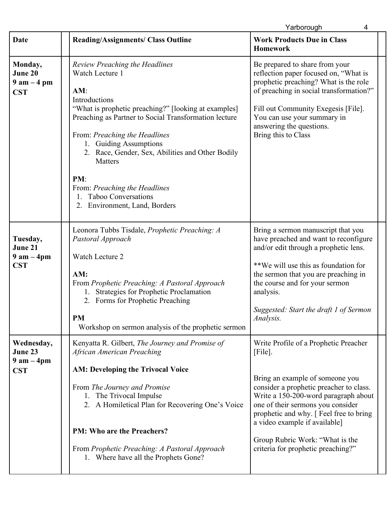|                                                       |                                                                                                                                                                                                                                                                                                                                                                                                                                    | Yarborough<br>4                                                                                                                                                                                                                                                                                                                                                     |
|-------------------------------------------------------|------------------------------------------------------------------------------------------------------------------------------------------------------------------------------------------------------------------------------------------------------------------------------------------------------------------------------------------------------------------------------------------------------------------------------------|---------------------------------------------------------------------------------------------------------------------------------------------------------------------------------------------------------------------------------------------------------------------------------------------------------------------------------------------------------------------|
| <b>Date</b>                                           | <b>Reading/Assignments/ Class Outline</b>                                                                                                                                                                                                                                                                                                                                                                                          | <b>Work Products Due in Class</b><br><b>Homework</b>                                                                                                                                                                                                                                                                                                                |
| Monday,<br>June 20<br>$9$ am $-4$ pm<br><b>CST</b>    | <b>Review Preaching the Headlines</b><br>Watch Lecture 1<br>AM:<br>Introductions<br>"What is prophetic preaching?" [looking at examples]<br>Preaching as Partner to Social Transformation lecture<br>From: Preaching the Headlines<br>1. Guiding Assumptions<br>2. Race, Gender, Sex, Abilities and Other Bodily<br>Matters<br>PM:<br>From: Preaching the Headlines<br><b>Taboo Conversations</b><br>2. Environment, Land, Borders | Be prepared to share from your<br>reflection paper focused on, "What is<br>prophetic preaching? What is the role<br>of preaching in social transformation?"<br>Fill out Community Exegesis [File].<br>You can use your summary in<br>answering the questions.<br>Bring this to Class                                                                                |
| Tuesday,<br>June 21<br>$9$ am $-$ 4pm<br><b>CST</b>   | Leonora Tubbs Tisdale, Prophetic Preaching: A<br>Pastoral Approach<br>Watch Lecture 2<br>AM:<br>From Prophetic Preaching: A Pastoral Approach<br>1. Strategies for Prophetic Proclamation<br>2. Forms for Prophetic Preaching<br><b>PM</b><br>Workshop on sermon analysis of the prophetic sermon                                                                                                                                  | Bring a sermon manuscript that you<br>have preached and want to reconfigure<br>and/or edit through a prophetic lens.<br>**We will use this as foundation for<br>the sermon that you are preaching in<br>the course and for your sermon<br>analysis.<br>Suggested: Start the draft 1 of Sermon<br>Analysis.                                                          |
| Wednesday,<br>June 23<br>$9$ am $-$ 4pm<br><b>CST</b> | Kenyatta R. Gilbert, The Journey and Promise of<br>African American Preaching<br><b>AM: Developing the Trivocal Voice</b><br>From The Journey and Promise<br>1. The Trivocal Impulse<br>2. A Homiletical Plan for Recovering One's Voice<br><b>PM: Who are the Preachers?</b><br>From Prophetic Preaching: A Pastoral Approach<br>1. Where have all the Prophets Gone?                                                             | Write Profile of a Prophetic Preacher<br>$[File]$ .<br>Bring an example of someone you<br>consider a prophetic preacher to class.<br>Write a 150-200-word paragraph about<br>one of their sermons you consider<br>prophetic and why. [Feel free to bring]<br>a video example if available]<br>Group Rubric Work: "What is the<br>criteria for prophetic preaching?" |